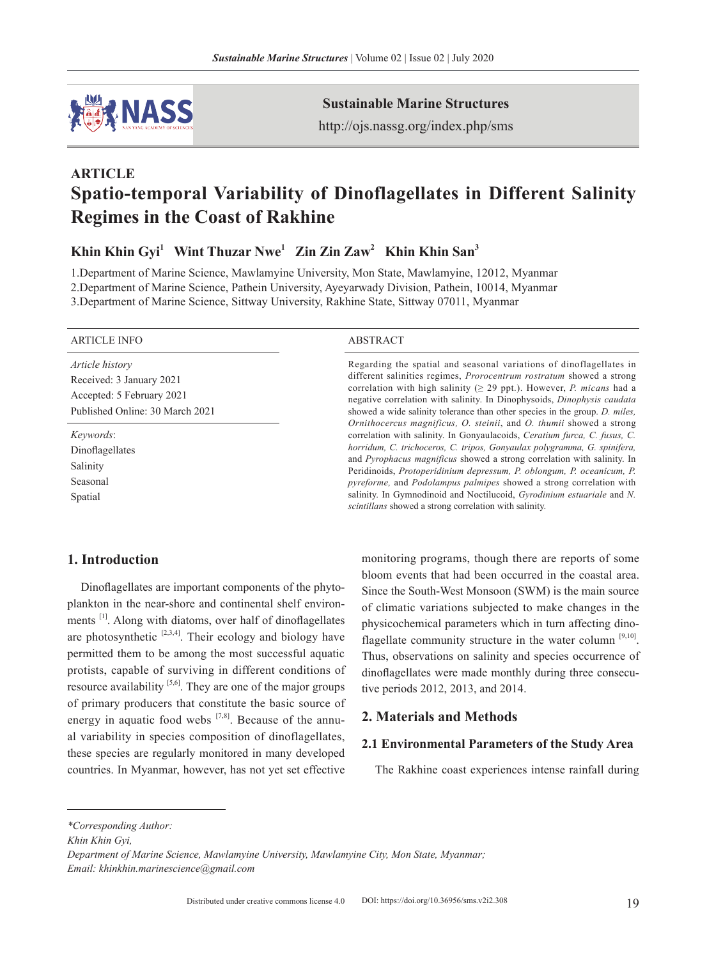

**Sustainable Marine Structures**

http://ojs.nassg.org/index.php/sms

# **ARTICLE Spatio-temporal Variability of Dinoflagellates in Different Salinity Regimes in the Coast of Rakhine**

**Khin Khin Gyi1 Wint Thuzar Nwe1 Zin Zin Zaw2 Khin Khin San3**

1.Department of Marine Science, Mawlamyine University, Mon State, Mawlamyine, 12012, Myanmar 2.Department of Marine Science, Pathein University, Ayeyarwady Division, Pathein, 10014, Myanmar 3.Department of Marine Science, Sittway University, Rakhine State, Sittway 07011, Myanmar

#### ARTICLE INFO ABSTRACT

*Article history* Received: 3 January 2021 Accepted: 5 February 2021 Published Online: 30 March 2021

*Keywords*: Dinoflagellates Salinity Seasonal Spatial

Regarding the spatial and seasonal variations of dinoflagellates in different salinities regimes, *Prorocentrum rostratum* showed a strong correlation with high salinity ( $\geq$  29 ppt.). However, *P. micans* had a negative correlation with salinity. In Dinophysoids, *Dinophysis caudata* showed a wide salinity tolerance than other species in the group. *D. miles, Ornithocercus magnificus, O. steinii*, and *O. thumii* showed a strong correlation with salinity. In Gonyaulacoids, *Ceratium furca, C. fusus, C. horridum, C. trichoceros, C. tripos, Gonyaulax polygramma, G. spinifera,* and *Pyrophacus magnificus* showed a strong correlation with salinity. In Peridinoids, *Protoperidinium depressum, P. oblongum, P. oceanicum, P. pyreforme,* and *Podolampus palmipes* showed a strong correlation with salinity. In Gymnodinoid and Noctilucoid, *Gyrodinium estuariale* and *N. scintillans* showed a strong correlation with salinity.

# **1. Introduction**

Dinoflagellates are important components of the phytoplankton in the near-shore and continental shelf environments [1]. Along with diatoms, over half of dinoflagellates are photosynthetic  $[2,3,4]$ . Their ecology and biology have permitted them to be among the most successful aquatic protists, capable of surviving in different conditions of resource availability  $[5,6]$ . They are one of the major groups of primary producers that constitute the basic source of energy in aquatic food webs  $[7,8]$ . Because of the annual variability in species composition of dinoflagellates, these species are regularly monitored in many developed countries. In Myanmar, however, has not yet set effective

monitoring programs, though there are reports of some bloom events that had been occurred in the coastal area. Since the South-West Monsoon (SWM) is the main source of climatic variations subjected to make changes in the physicochemical parameters which in turn affecting dinoflagellate community structure in the water column [9,10]. Thus, observations on salinity and species occurrence of dinoflagellates were made monthly during three consecutive periods 2012, 2013, and 2014.

# **2. Materials and Methods**

# **2.1 Environmental Parameters of the Study Area**

The Rakhine coast experiences intense rainfall during

*\*Corresponding Author:*

*Khin Khin Gyi,* 

*Department of Marine Science, Mawlamyine University, Mawlamyine City, Mon State, Myanmar; Email: khinkhin.marinescience@gmail.com*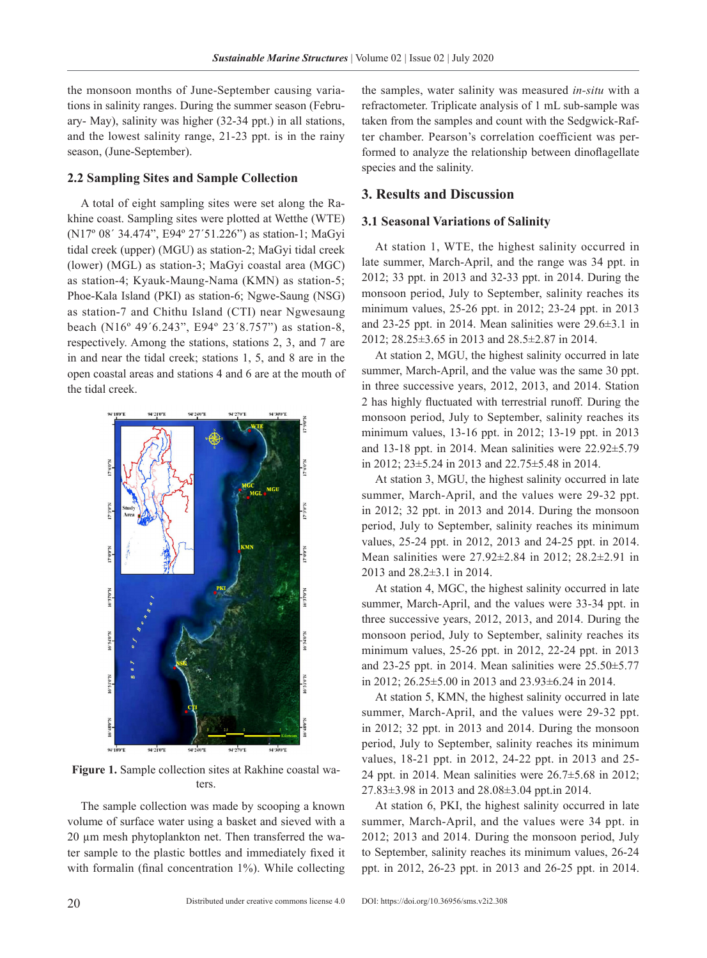the monsoon months of June-September causing variations in salinity ranges. During the summer season (February- May), salinity was higher (32-34 ppt.) in all stations, and the lowest salinity range, 21-23 ppt. is in the rainy season, (June-September).

# **2.2 Sampling Sites and Sample Collection**

A total of eight sampling sites were set along the Rakhine coast. Sampling sites were plotted at Wetthe (WTE) (N17º 08´ 34.474", E94º 27´51.226") as station-1; MaGyi tidal creek (upper) (MGU) as station-2; MaGyi tidal creek (lower) (MGL) as station-3; MaGyi coastal area (MGC) as station-4; Kyauk-Maung-Nama (KMN) as station-5; Phoe-Kala Island (PKI) as station-6; Ngwe-Saung (NSG) as station-7 and Chithu Island (CTI) near Ngwesaung beach (N16º 49´6.243", E94º 23´8.757") as station-8, respectively. Among the stations, stations 2, 3, and 7 are in and near the tidal creek; stations 1, 5, and 8 are in the open coastal areas and stations 4 and 6 are at the mouth of the tidal creek.



**Figure 1.** Sample collection sites at Rakhine coastal waters.

The sample collection was made by scooping a known volume of surface water using a basket and sieved with a 20 µm mesh phytoplankton net. Then transferred the water sample to the plastic bottles and immediately fixed it with formalin (final concentration 1%). While collecting

the samples, water salinity was measured *in-situ* with a refractometer. Triplicate analysis of 1 mL sub-sample was taken from the samples and count with the Sedgwick-Rafter chamber. Pearson's correlation coefficient was performed to analyze the relationship between dinoflagellate species and the salinity.

# **3. Results and Discussion**

#### **3.1 Seasonal Variations of Salinity**

At station 1, WTE, the highest salinity occurred in late summer, March-April, and the range was 34 ppt. in 2012; 33 ppt. in 2013 and 32-33 ppt. in 2014. During the monsoon period, July to September, salinity reaches its minimum values, 25-26 ppt. in 2012; 23-24 ppt. in 2013 and 23-25 ppt. in 2014. Mean salinities were 29.6±3.1 in 2012; 28.25±3.65 in 2013 and 28.5±2.87 in 2014.

At station 2, MGU, the highest salinity occurred in late summer, March-April, and the value was the same 30 ppt. in three successive years, 2012, 2013, and 2014. Station 2 has highly fluctuated with terrestrial runoff. During the monsoon period, July to September, salinity reaches its minimum values, 13-16 ppt. in 2012; 13-19 ppt. in 2013 and 13-18 ppt. in 2014. Mean salinities were 22.92±5.79 in 2012; 23±5.24 in 2013 and 22.75±5.48 in 2014.

At station 3, MGU, the highest salinity occurred in late summer, March-April, and the values were 29-32 ppt. in 2012; 32 ppt. in 2013 and 2014. During the monsoon period, July to September, salinity reaches its minimum values, 25-24 ppt. in 2012, 2013 and 24-25 ppt. in 2014. Mean salinities were 27.92±2.84 in 2012; 28.2±2.91 in 2013 and 28.2±3.1 in 2014.

At station 4, MGC, the highest salinity occurred in late summer, March-April, and the values were 33-34 ppt. in three successive years, 2012, 2013, and 2014. During the monsoon period, July to September, salinity reaches its minimum values, 25-26 ppt. in 2012, 22-24 ppt. in 2013 and 23-25 ppt. in 2014. Mean salinities were 25.50±5.77 in 2012; 26.25±5.00 in 2013 and 23.93±6.24 in 2014.

At station 5, KMN, the highest salinity occurred in late summer, March-April, and the values were 29-32 ppt. in 2012; 32 ppt. in 2013 and 2014. During the monsoon period, July to September, salinity reaches its minimum values, 18-21 ppt. in 2012, 24-22 ppt. in 2013 and 25- 24 ppt. in 2014. Mean salinities were 26.7±5.68 in 2012; 27.83±3.98 in 2013 and 28.08±3.04 ppt.in 2014.

At station 6, PKI, the highest salinity occurred in late summer, March-April, and the values were 34 ppt. in 2012; 2013 and 2014. During the monsoon period, July to September, salinity reaches its minimum values, 26-24 ppt. in 2012, 26-23 ppt. in 2013 and 26-25 ppt. in 2014.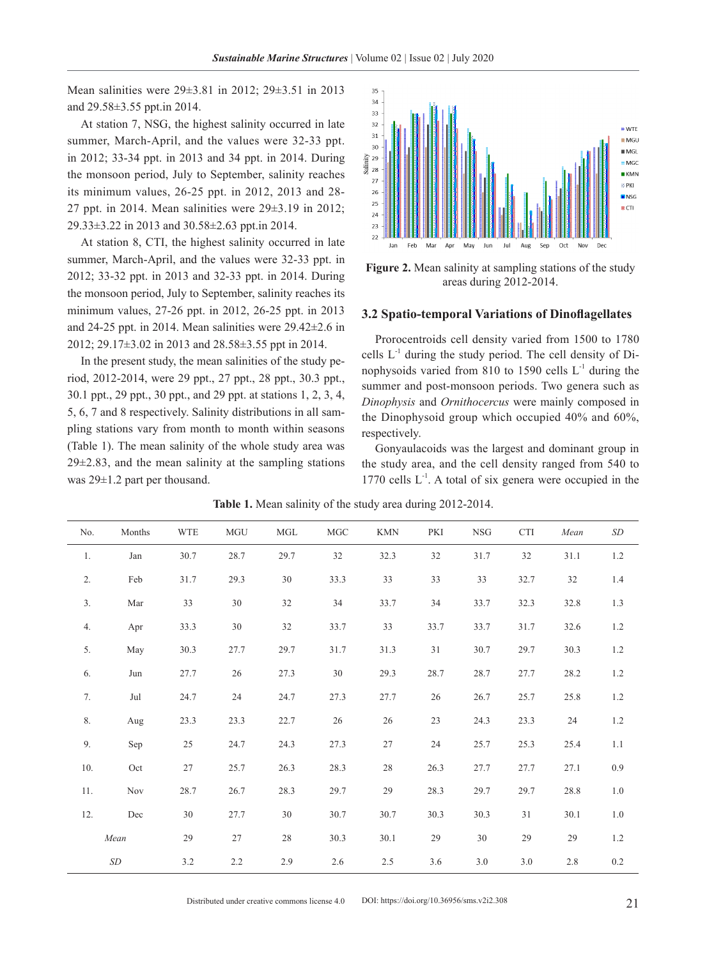Mean salinities were 29±3.81 in 2012; 29±3.51 in 2013 and 29.58±3.55 ppt.in 2014.

At station 7, NSG, the highest salinity occurred in late summer, March-April, and the values were 32-33 ppt. in 2012; 33-34 ppt. in 2013 and 34 ppt. in 2014. During the monsoon period, July to September, salinity reaches its minimum values, 26-25 ppt. in 2012, 2013 and 28- 27 ppt. in 2014. Mean salinities were  $29\pm3.19$  in 2012; 29.33±3.22 in 2013 and 30.58±2.63 ppt.in 2014.

At station 8, CTI, the highest salinity occurred in late summer, March-April, and the values were 32-33 ppt. in 2012; 33-32 ppt. in 2013 and 32-33 ppt. in 2014. During the monsoon period, July to September, salinity reaches its minimum values, 27-26 ppt. in 2012, 26-25 ppt. in 2013 and 24-25 ppt. in 2014. Mean salinities were 29.42±2.6 in 2012; 29.17±3.02 in 2013 and 28.58±3.55 ppt in 2014.

In the present study, the mean salinities of the study period, 2012-2014, were 29 ppt., 27 ppt., 28 ppt., 30.3 ppt., 30.1 ppt., 29 ppt., 30 ppt., and 29 ppt. at stations 1, 2, 3, 4, 5, 6, 7 and 8 respectively. Salinity distributions in all sampling stations vary from month to month within seasons (Table 1). The mean salinity of the whole study area was  $29\pm2.83$ , and the mean salinity at the sampling stations was 29±1.2 part per thousand.



**Figure 2.** Mean salinity at sampling stations of the study areas during 2012-2014.

#### **3.2 Spatio-temporal Variations of Dinoflagellates**

Prorocentroids cell density varied from 1500 to 1780 cells  $L^{-1}$  during the study period. The cell density of Dinophysoids varied from 810 to 1590 cells  $L<sup>-1</sup>$  during the summer and post-monsoon periods. Two genera such as *Dinophysis* and *Ornithocercus* were mainly composed in the Dinophysoid group which occupied 40% and 60%, respectively.

Gonyaulacoids was the largest and dominant group in the study area, and the cell density ranged from 540 to 1770 cells  $L^{-1}$ . A total of six genera were occupied in the

| No.     | Months     | <b>WTE</b> | $\rm MGU$ | MGL    | $_{\mathrm{MGC}}$ | <b>KMN</b> | PKI  | <b>NSG</b> | <b>CTI</b> | Mean    | SD      |
|---------|------------|------------|-----------|--------|-------------------|------------|------|------------|------------|---------|---------|
| 1.      | Jan        | 30.7       | 28.7      | 29.7   | 32                | 32.3       | 32   | 31.7       | 32         | 31.1    | 1.2     |
| 2.      | Feb        | 31.7       | 29.3      | 30     | 33.3              | 33         | 33   | 33         | 32.7       | 32      | 1.4     |
| 3.      | Mar        | 33         | 30        | 32     | 34                | 33.7       | 34   | 33.7       | 32.3       | 32.8    | 1.3     |
| 4.      | Apr        | 33.3       | 30        | $32\,$ | 33.7              | 33         | 33.7 | 33.7       | 31.7       | 32.6    | 1.2     |
| 5.      | May        | 30.3       | 27.7      | 29.7   | 31.7              | 31.3       | 31   | 30.7       | 29.7       | 30.3    | 1.2     |
| 6.      | Jun        | 27.7       | 26        | 27.3   | 30                | 29.3       | 28.7 | 28.7       | 27.7       | 28.2    | 1.2     |
| 7.      | Jul        | 24.7       | $24\,$    | 24.7   | 27.3              | 27.7       | 26   | 26.7       | 25.7       | 25.8    | 1.2     |
| $\,$ 8. | Aug        | 23.3       | 23.3      | 22.7   | 26                | 26         | 23   | 24.3       | 23.3       | 24      | 1.2     |
| 9.      | Sep        | 25         | 24.7      | 24.3   | 27.3              | 27         | 24   | 25.7       | 25.3       | 25.4    | 1.1     |
| 10.     | Oct        | 27         | 25.7      | 26.3   | 28.3              | $28\,$     | 26.3 | 27.7       | 27.7       | 27.1    | 0.9     |
| 11.     | <b>Nov</b> | 28.7       | 26.7      | 28.3   | 29.7              | 29         | 28.3 | 29.7       | 29.7       | 28.8    | 1.0     |
| 12.     | Dec        | 30         | 27.7      | 30     | 30.7              | 30.7       | 30.3 | 30.3       | 31         | 30.1    | 1.0     |
|         | Mean       | 29         | $27\,$    | 28     | 30.3              | 30.1       | 29   | 30         | 29         | 29      | 1.2     |
|         | $\,SD$     | $3.2\,$    | $2.2\,$   | 2.9    | 2.6               | $2.5\,$    | 3.6  | 3.0        | 3.0        | $2.8\,$ | $0.2\,$ |

**Table 1.** Mean salinity of the study area during 2012-2014.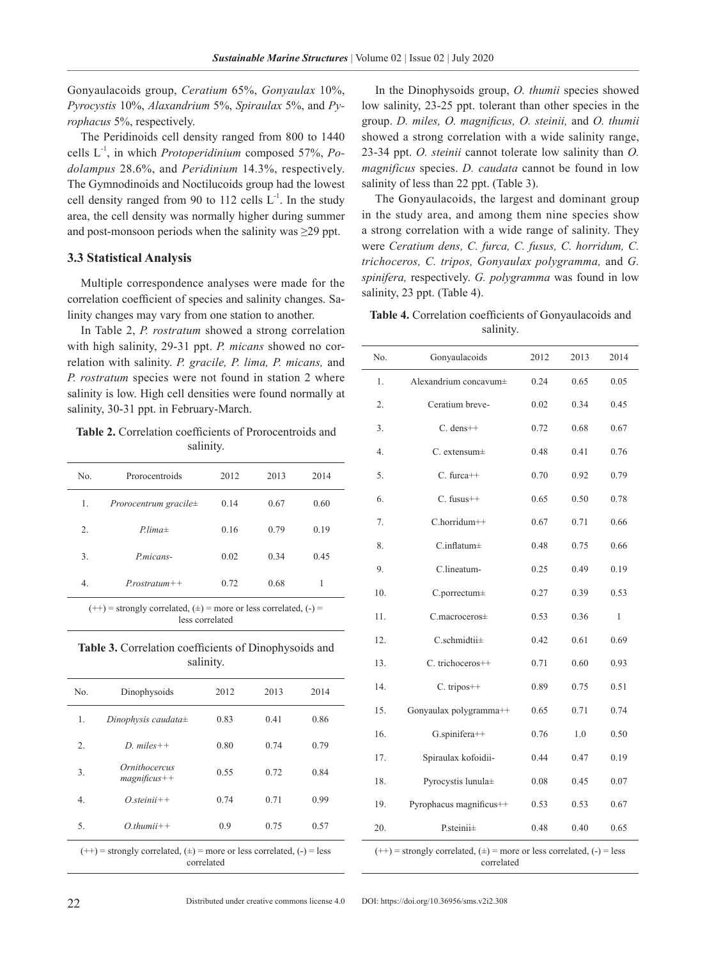Gonyaulacoids group, *Ceratium* 65%, *Gonyaulax* 10%, *Pyrocystis* 10%, *Alaxandrium* 5%, *Spiraulax* 5%, and *Pyrophacus* 5%, respectively.

The Peridinoids cell density ranged from 800 to 1440 cells L-1, in which *Protoperidinium* composed 57%, *Podolampus* 28.6%, and *Peridinium* 14.3%, respectively. The Gymnodinoids and Noctilucoids group had the lowest cell density ranged from 90 to 112 cells  $L<sup>-1</sup>$ . In the study area, the cell density was normally higher during summer and post-monsoon periods when the salinity was  $\geq$ 29 ppt.

# **3.3 Statistical Analysis**

Multiple correspondence analyses were made for the correlation coefficient of species and salinity changes. Salinity changes may vary from one station to another.

In Table 2, *P. rostratum* showed a strong correlation with high salinity, 29-31 ppt. *P. micans* showed no correlation with salinity. *P. gracile, P. lima, P. micans,* and *P. rostratum* species were not found in station 2 where salinity is low. High cell densities were found normally at salinity, 30-31 ppt. in February-March.

**Table 2.** Correlation coefficients of Prorocentroids and salinity.

| No. | Prorocentroids                    | 2012 | 2013 | 2014 |
|-----|-----------------------------------|------|------|------|
| 1.  | <i>Prorocentrum gracile</i> $\pm$ | 0.14 | 0.67 | 0.60 |
| 2.  | $Plima\pm$                        | 0.16 | 0.79 | 0.19 |
| 3.  | P.micans-                         | 0.02 | 0.34 | 0.45 |
| 4.  | $Prostratum++$                    | 0.72 | 0.68 |      |

 $(++)$  = strongly correlated,  $(±)$  = more or less correlated,  $(−)$  = less correlated

**Table 3.** Correlation coefficients of Dinophysoids and salinity.

| No.                                                                         | Dinophysoids                           | 2012 | 2013 | 2014 |  |
|-----------------------------------------------------------------------------|----------------------------------------|------|------|------|--|
| 1.                                                                          | Dinophysis caudata $\pm$               | 0.83 | 0.41 | 0.86 |  |
| 2.                                                                          | $D.$ miles + +                         | 0.80 | 0.74 | 0.79 |  |
| 3.                                                                          | <i>Ornithocercus</i><br>$magnificus++$ | 0.55 | 0.72 | 0.84 |  |
| 4.                                                                          | $Ost einii$ ++                         | 0.74 | 0.71 | 0.99 |  |
| 5.                                                                          | $O_thumii++$                           | 0.9  | 0.75 | 0.57 |  |
| $(++)$ = strongly correlated, $(±)$ = more or less correlated, $(-)$ = less |                                        |      |      |      |  |

correlated

In the Dinophysoids group, *O. thumii* species showed low salinity, 23-25 ppt. tolerant than other species in the group. *D. miles, O. magnificus, O. steinii,* and *O. thumii*  showed a strong correlation with a wide salinity range, 23-34 ppt. *O. steinii* cannot tolerate low salinity than *O. magnificus* species. *D. caudata* cannot be found in low salinity of less than 22 ppt. (Table 3).

The Gonyaulacoids, the largest and dominant group in the study area, and among them nine species show a strong correlation with a wide range of salinity. They were *Ceratium dens, C. furca, C. fusus, C. horridum, C. trichoceros, C. tripos, Gonyaulax polygramma,* and *G. spinifera,* respectively. *G. polygramma* was found in low salinity, 23 ppt. (Table 4).

**Table 4.** Correlation coefficients of Gonyaulacoids and salinity.

| No. | Gonyaulacoids           | 2012 | 2013 | 2014 |
|-----|-------------------------|------|------|------|
| 1.  | Alexandrium concavum±   | 0.24 | 0.65 | 0.05 |
| 2.  | Ceratium breve-         | 0.02 | 0.34 | 0.45 |
| 3.  | $C.$ dens $++$          | 0.72 | 0.68 | 0.67 |
| 4.  | $C.$ extensum $\pm$     | 0.48 | 0.41 | 0.76 |
| 5.  | $C.$ furca $++$         | 0.70 | 0.92 | 0.79 |
| 6.  | $C.$ fusus $++$         | 0.65 | 0.50 | 0.78 |
| 7.  | C.horridum++            | 0.67 | 0.71 | 0.66 |
| 8.  | $C.inflatum\pm$         | 0.48 | 0.75 | 0.66 |
| 9.  | C.lineatum-             | 0.25 | 0.49 | 0.19 |
| 10. | C.porrectum±            | 0.27 | 0.39 | 0.53 |
| 11. | $C$ .macroceros $\pm$   | 0.53 | 0.36 | 1    |
| 12. | $C$ .schmidtii $\pm$    | 0.42 | 0.61 | 0.69 |
| 13. | C. trichoceros++        | 0.71 | 0.60 | 0.93 |
| 14. | $C.$ tripos $++$        | 0.89 | 0.75 | 0.51 |
| 15. | Gonyaulax polygramma++  | 0.65 | 0.71 | 0.74 |
| 16. | G.spinifera++           | 0.76 | 1.0  | 0.50 |
| 17. | Spiraulax kofoidii-     | 0.44 | 0.47 | 0.19 |
| 18. | Pyrocystis lunula±      | 0.08 | 0.45 | 0.07 |
| 19. | Pyrophacus magnificus++ | 0.53 | 0.53 | 0.67 |
| 20. | $P$ .steinii $\pm$      | 0.48 | 0.40 | 0.65 |

 $(++)$  = strongly correlated,  $(+)$  = more or less correlated,  $(-)$  = less correlated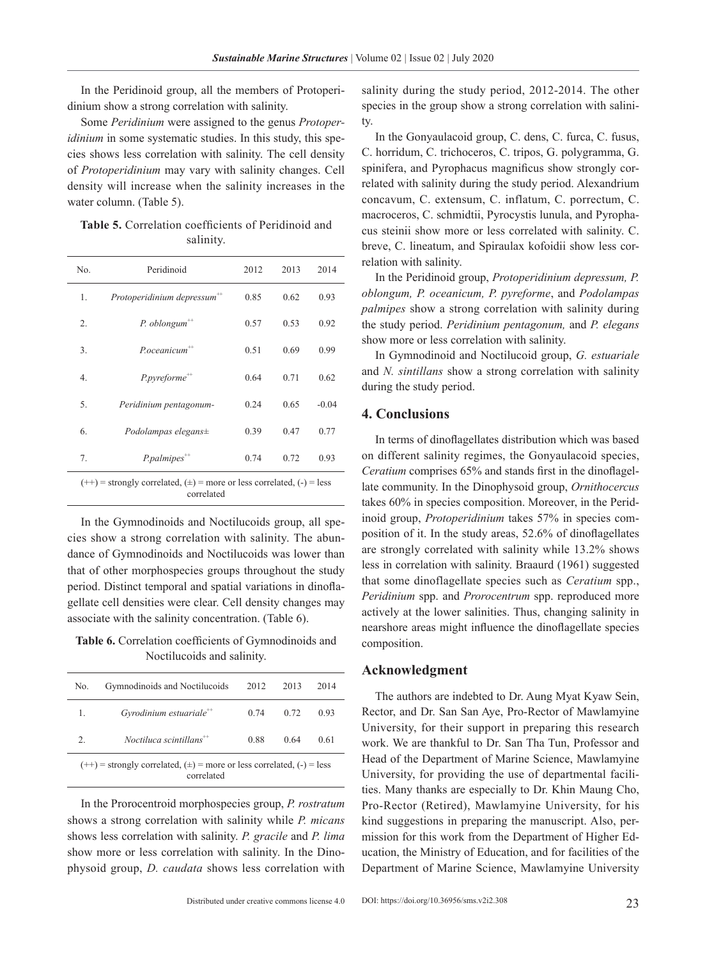In the Peridinoid group, all the members of Protoperidinium show a strong correlation with salinity.

Some *Peridinium* were assigned to the genus *Protoperidinium* in some systematic studies. In this study, this species shows less correlation with salinity. The cell density of *Protoperidinium* may vary with salinity changes. Cell density will increase when the salinity increases in the water column. (Table 5).

**Table 5.** Correlation coefficients of Peridinoid and salinity.

| No.                                                                                       | Peridinoid                              | 2012 | 2013 | 2014    |  |
|-------------------------------------------------------------------------------------------|-----------------------------------------|------|------|---------|--|
| 1.                                                                                        | Protoperidinium depressum <sup>++</sup> | 0.85 | 0.62 | 0.93    |  |
| 2.                                                                                        | $P.$ oblongum <sup>++</sup>             | 0.57 | 0.53 | 0.92    |  |
| 3.                                                                                        | $P. oceanicum$ <sup>++</sup>            | 0.51 | 0.69 | 0.99    |  |
| 4.                                                                                        | $P. pyreforme^{++}$                     | 0.64 | 0.71 | 0.62    |  |
| 5.                                                                                        | Peridinium pentagonum-                  | 0.24 | 0.65 | $-0.04$ |  |
| 6.                                                                                        | Podolampas elegans $\pm$                | 0.39 | 0.47 | 0.77    |  |
| 7 <sub>1</sub>                                                                            | $P1$ <i>P.palmipes</i> <sup>***</sup>   | 0.74 | 0.72 | 0.93    |  |
| $(++)$ = strongly correlated, $(±)$ = more or less correlated, $(−)$ = less<br>correlated |                                         |      |      |         |  |

In the Gymnodinoids and Noctilucoids group, all species show a strong correlation with salinity. The abundance of Gymnodinoids and Noctilucoids was lower than that of other morphospecies groups throughout the study period. Distinct temporal and spatial variations in dinoflagellate cell densities were clear. Cell density changes may associate with the salinity concentration. (Table 6).

**Table 6.** Correlation coefficients of Gymnodinoids and Noctilucoids and salinity.

| No.                                                                                       | Gymnodinoids and Noctilucoids         | 2012 | 2013 | 2014 |  |  |
|-------------------------------------------------------------------------------------------|---------------------------------------|------|------|------|--|--|
| 1.                                                                                        | Gyrodinium estuariale <sup>**</sup>   | 0.74 | 0.72 | 0.93 |  |  |
| $\mathfrak{2}$ .                                                                          | $Noctiluca$ scintillans <sup>++</sup> | 0.88 | 0.64 | 0.61 |  |  |
| $(++)$ = strongly correlated, $(±)$ = more or less correlated, $(-)$ = less<br>correlated |                                       |      |      |      |  |  |

In the Prorocentroid morphospecies group, *P. rostratum* shows a strong correlation with salinity while *P. micans* shows less correlation with salinity. *P. gracile* and *P. lima*  show more or less correlation with salinity. In the Dinophysoid group, *D. caudata* shows less correlation with salinity during the study period, 2012-2014. The other species in the group show a strong correlation with salinity.

In the Gonyaulacoid group, C. dens, C. furca, C. fusus, C. horridum, C. trichoceros, C. tripos, G. polygramma, G. spinifera, and Pyrophacus magnificus show strongly correlated with salinity during the study period. Alexandrium concavum, C. extensum, C. inflatum, C. porrectum, C. macroceros, C. schmidtii, Pyrocystis lunula, and Pyrophacus steinii show more or less correlated with salinity. C. breve, C. lineatum, and Spiraulax kofoidii show less correlation with salinity.

In the Peridinoid group, *Protoperidinium depressum, P. oblongum, P. oceanicum, P. pyreforme*, and *Podolampas palmipes* show a strong correlation with salinity during the study period. *Peridinium pentagonum,* and *P. elegans*  show more or less correlation with salinity.

In Gymnodinoid and Noctilucoid group, *G. estuariale*  and *N. sintillans* show a strong correlation with salinity during the study period.

# **4. Conclusions**

In terms of dinoflagellates distribution which was based on different salinity regimes, the Gonyaulacoid species, *Ceratium* comprises 65% and stands first in the dinoflagellate community. In the Dinophysoid group, *Ornithocercus* takes 60% in species composition. Moreover, in the Peridinoid group, *Protoperidinium* takes 57% in species composition of it. In the study areas, 52.6% of dinoflagellates are strongly correlated with salinity while 13.2% shows less in correlation with salinity. Braaurd (1961) suggested that some dinoflagellate species such as *Ceratium* spp., *Peridinium* spp. and *Prorocentrum* spp. reproduced more actively at the lower salinities. Thus, changing salinity in nearshore areas might influence the dinoflagellate species composition.

## **Acknowledgment**

The authors are indebted to Dr. Aung Myat Kyaw Sein, Rector, and Dr. San San Aye, Pro-Rector of Mawlamyine University, for their support in preparing this research work. We are thankful to Dr. San Tha Tun, Professor and Head of the Department of Marine Science, Mawlamyine University, for providing the use of departmental facilities. Many thanks are especially to Dr. Khin Maung Cho, Pro-Rector (Retired), Mawlamyine University, for his kind suggestions in preparing the manuscript. Also, permission for this work from the Department of Higher Education, the Ministry of Education, and for facilities of the Department of Marine Science, Mawlamyine University